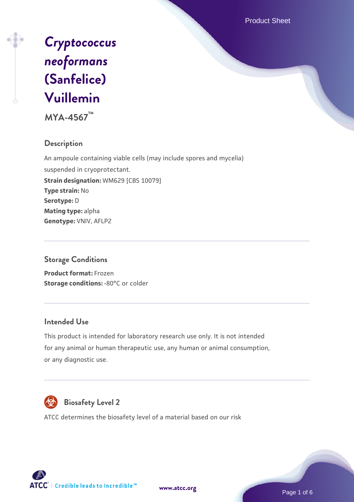Product Sheet



**MYA-4567™**

## **Description**

An ampoule containing viable cells (may include spores and mycelia) suspended in cryoprotectant. **Strain designation:** WM629 [CBS 10079] **Type strain:** No **Serotype:** D **Mating type:** alpha **Genotype:** VNIV, AFLP2

### **Storage Conditions**

**Product format:** Frozen **Storage conditions: -80°C or colder** 

#### **Intended Use**

This product is intended for laboratory research use only. It is not intended for any animal or human therapeutic use, any human or animal consumption, or any diagnostic use.



# **Biosafety Level 2**

ATCC determines the biosafety level of a material based on our risk



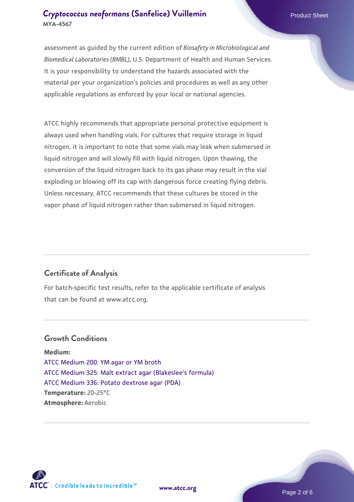assessment as guided by the current edition of *Biosafety in Microbiological and Biomedical Laboratories (BMBL)*, U.S. Department of Health and Human Services. It is your responsibility to understand the hazards associated with the material per your organization's policies and procedures as well as any other applicable regulations as enforced by your local or national agencies.

ATCC highly recommends that appropriate personal protective equipment is always used when handling vials. For cultures that require storage in liquid nitrogen, it is important to note that some vials may leak when submersed in liquid nitrogen and will slowly fill with liquid nitrogen. Upon thawing, the conversion of the liquid nitrogen back to its gas phase may result in the vial exploding or blowing off its cap with dangerous force creating flying debris. Unless necessary, ATCC recommends that these cultures be stored in the vapor phase of liquid nitrogen rather than submersed in liquid nitrogen.

### **Certificate of Analysis**

For batch-specific test results, refer to the applicable certificate of analysis that can be found at www.atcc.org.

### **Growth Conditions**

**Medium:**  [ATCC Medium 200: YM agar or YM broth](https://www.atcc.org/-/media/product-assets/documents/microbial-media-formulations/2/0/0/atcc-medium-200.pdf?rev=ac40fd74dc13433a809367b0b9da30fc) [ATCC Medium 325: Malt extract agar \(Blakeslee's formula\)](https://www.atcc.org/-/media/product-assets/documents/microbial-media-formulations/3/2/5/atcc-medium-325.pdf?rev=146ec77015184a96912232dcb12386f9) [ATCC Medium 336: Potato dextrose agar \(PDA\)](https://www.atcc.org/-/media/product-assets/documents/microbial-media-formulations/3/3/6/atcc-medium-336.pdf?rev=d9160ad44d934cd8b65175461abbf3b9) **Temperature:** 20-25°C **Atmosphere:** Aerobic



**[www.atcc.org](http://www.atcc.org)**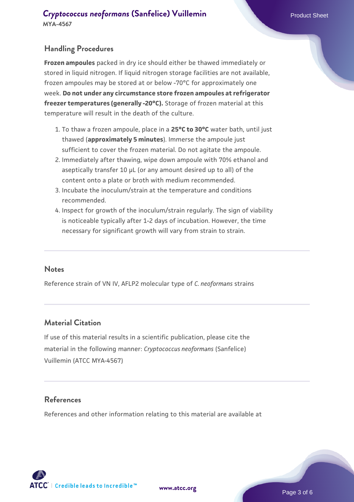### **Handling Procedures**

**Frozen ampoules** packed in dry ice should either be thawed immediately or stored in liquid nitrogen. If liquid nitrogen storage facilities are not available, frozen ampoules may be stored at or below -70°C for approximately one week. **Do not under any circumstance store frozen ampoules at refrigerator freezer temperatures (generally -20°C).** Storage of frozen material at this temperature will result in the death of the culture.

- 1. To thaw a frozen ampoule, place in a **25°C to 30°C** water bath, until just thawed (**approximately 5 minutes**). Immerse the ampoule just sufficient to cover the frozen material. Do not agitate the ampoule.
- 2. Immediately after thawing, wipe down ampoule with 70% ethanol and aseptically transfer 10 µL (or any amount desired up to all) of the content onto a plate or broth with medium recommended.
- Incubate the inoculum/strain at the temperature and conditions 3. recommended.
- 4. Inspect for growth of the inoculum/strain regularly. The sign of viability is noticeable typically after 1-2 days of incubation. However, the time necessary for significant growth will vary from strain to strain.

#### **Notes**

Reference strain of VN IV, AFLP2 molecular type of *C. neoformans* strains

#### **Material Citation**

If use of this material results in a scientific publication, please cite the material in the following manner: *Cryptococcus neoformans* (Sanfelice) Vuillemin (ATCC MYA-4567)

#### **References**

References and other information relating to this material are available at

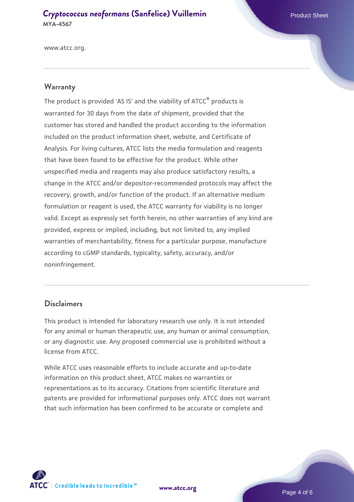www.atcc.org.

#### **Warranty**

The product is provided 'AS IS' and the viability of ATCC® products is warranted for 30 days from the date of shipment, provided that the customer has stored and handled the product according to the information included on the product information sheet, website, and Certificate of Analysis. For living cultures, ATCC lists the media formulation and reagents that have been found to be effective for the product. While other unspecified media and reagents may also produce satisfactory results, a change in the ATCC and/or depositor-recommended protocols may affect the recovery, growth, and/or function of the product. If an alternative medium formulation or reagent is used, the ATCC warranty for viability is no longer valid. Except as expressly set forth herein, no other warranties of any kind are provided, express or implied, including, but not limited to, any implied warranties of merchantability, fitness for a particular purpose, manufacture according to cGMP standards, typicality, safety, accuracy, and/or noninfringement.

#### **Disclaimers**

This product is intended for laboratory research use only. It is not intended for any animal or human therapeutic use, any human or animal consumption, or any diagnostic use. Any proposed commercial use is prohibited without a license from ATCC.

While ATCC uses reasonable efforts to include accurate and up-to-date information on this product sheet, ATCC makes no warranties or representations as to its accuracy. Citations from scientific literature and patents are provided for informational purposes only. ATCC does not warrant that such information has been confirmed to be accurate or complete and



**[www.atcc.org](http://www.atcc.org)**

Page 4 of 6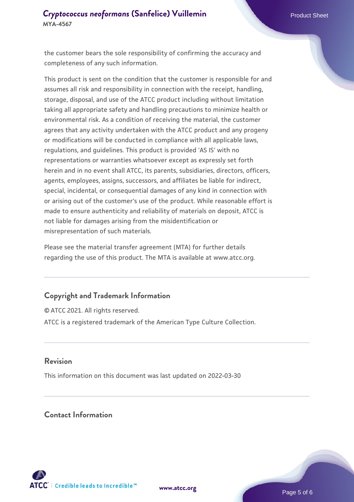the customer bears the sole responsibility of confirming the accuracy and completeness of any such information.

This product is sent on the condition that the customer is responsible for and assumes all risk and responsibility in connection with the receipt, handling, storage, disposal, and use of the ATCC product including without limitation taking all appropriate safety and handling precautions to minimize health or environmental risk. As a condition of receiving the material, the customer agrees that any activity undertaken with the ATCC product and any progeny or modifications will be conducted in compliance with all applicable laws, regulations, and guidelines. This product is provided 'AS IS' with no representations or warranties whatsoever except as expressly set forth herein and in no event shall ATCC, its parents, subsidiaries, directors, officers, agents, employees, assigns, successors, and affiliates be liable for indirect, special, incidental, or consequential damages of any kind in connection with or arising out of the customer's use of the product. While reasonable effort is made to ensure authenticity and reliability of materials on deposit, ATCC is not liable for damages arising from the misidentification or misrepresentation of such materials.

Please see the material transfer agreement (MTA) for further details regarding the use of this product. The MTA is available at www.atcc.org.

#### **Copyright and Trademark Information**

© ATCC 2021. All rights reserved. ATCC is a registered trademark of the American Type Culture Collection.

#### **Revision**

This information on this document was last updated on 2022-03-30

## **Contact Information**



**[www.atcc.org](http://www.atcc.org)**